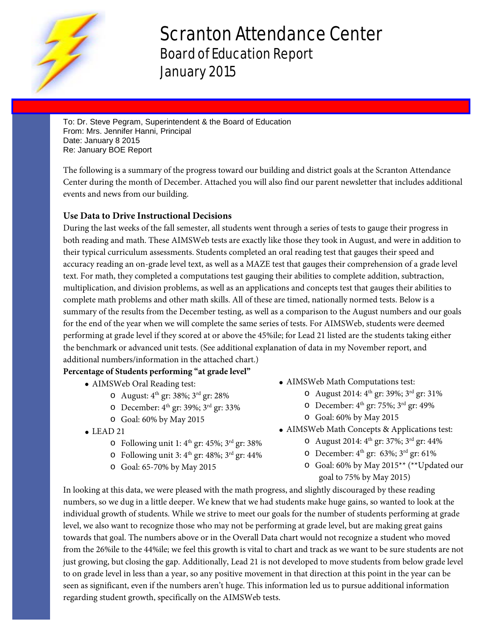

# Scranton Attendance Center Board of Education Report January 2015

To: Dr. Steve Pegram, Superintendent & the Board of Education From: Mrs. Jennifer Hanni, Principal Date: January 8 2015 Re: January BOE Report

The following is a summary of the progress toward our building and district goals at the Scranton Attendance Center during the month of December. Attached you will also find our parent newsletter that includes additional events and news from our building.

# **Use Data to Drive Instructional Decisions**

During the last weeks of the fall semester, all students went through a series of tests to gauge their progress in both reading and math. These AIMSWeb tests are exactly like those they took in August, and were in addition to their typical curriculum assessments. Students completed an oral reading test that gauges their speed and accuracy reading an on-grade level text, as well as a MAZE test that gauges their comprehension of a grade level text. For math, they completed a computations test gauging their abilities to complete addition, subtraction, multiplication, and division problems, as well as an applications and concepts test that gauges their abilities to complete math problems and other math skills. All of these are timed, nationally normed tests. Below is a summary of the results from the December testing, as well as a comparison to the August numbers and our goals for the end of the year when we will complete the same series of tests. For AIMSWeb, students were deemed performing at grade level if they scored at or above the 45%ile; for Lead 21 listed are the students taking either the benchmark or advanced unit tests. (See additional explanation of data in my November report, and additional numbers/information in the attached chart.)

# **Percentage of Students performing "at grade level"**

- AIMSWeb Oral Reading test:
	- $\circ$  August:  $4^{th}$  gr: 38%;  $3^{rd}$  gr: 28%
	- $\circ$  December: 4<sup>th</sup> gr: 39%; 3<sup>rd</sup> gr: 33%
	- o Goal: 60% by May 2015
- $\bullet$  LEAD 21
	- $\circ$  Following unit 1: 4<sup>th</sup> gr: 45%; 3<sup>rd</sup> gr: 38%
	- $\circ$  Following unit 3:  $4<sup>th</sup>$  gr: 48%;  $3<sup>rd</sup>$  gr: 44%
	- o Goal: 65-70% by May 2015
- AIMSWeb Math Computations test:
	- $\circ$  August 2014: 4<sup>th</sup> gr: 39%; 3<sup>rd</sup> gr: 31%
	- $\circ$  December: 4<sup>th</sup> gr: 75%; 3<sup>rd</sup> gr: 49%
	- o Goal: 60% by May 2015
- AIMSWeb Math Concepts & Applications test:
	- $\circ$  August 2014:  $4^{th}$  gr: 37%;  $3^{rd}$  gr: 44%
	- $\circ$  December: 4<sup>th</sup> gr: 63%; 3<sup>rd</sup> gr: 61%
	- o Goal: 60% by May 2015\*\* (\*\*Updated our goal to 75% by May 2015)

In looking at this data, we were pleased with the math progress, and slightly discouraged by these reading numbers, so we dug in a little deeper. We knew that we had students make huge gains, so wanted to look at the individual growth of students. While we strive to meet our goals for the number of students performing at grade level, we also want to recognize those who may not be performing at grade level, but are making great gains towards that goal. The numbers above or in the Overall Data chart would not recognize a student who moved from the 26%ile to the 44%ile; we feel this growth is vital to chart and track as we want to be sure students are not just growing, but closing the gap. Additionally, Lead 21 is not developed to move students from below grade level to on grade level in less than a year, so any positive movement in that direction at this point in the year can be seen as significant, even if the numbers aren't huge. This information led us to pursue additional information regarding student growth, specifically on the AIMSWeb tests.